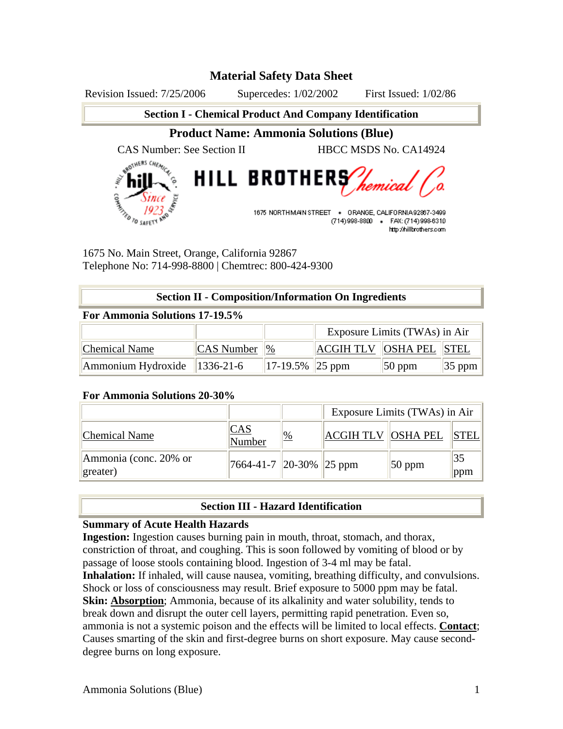# **Material Safety Data Sheet**

Revision Issued: 7/25/2006 Supercedes: 1/02/2002 First Issued: 1/02/86

**Section I - Chemical Product And Company Identification**

# **Product Name: Ammonia Solutions (Blue)**

CAS Number: See Section II HBCC MSDS No. CA14924



1675 NORTHMAN STREET · ORANGE, CALIFORNIA92867-3499 (714) 998-8800 · FAX: (714) 998-6310 http://hillbrothers.com

1675 No. Main Street, Orange, California 92867 Telephone No: 714-998-8800 | Chemtrec: 800-424-9300

# **Section II - Composition/Information On Ingredients**

## **For Ammonia Solutions 17-19.5%**

|                                       |                    |                     | Exposure Limits (TWAs) in Air |          |               |
|---------------------------------------|--------------------|---------------------|-------------------------------|----------|---------------|
| Chemical Name                         | $ CAS$ Number $ %$ |                     | ACGIH TLV OSHA PEL STEL       |          |               |
| $\text{Ammonium Hydroxide}$ 1336-21-6 |                    | $ 17-19.5\% 25$ ppm |                               | $50$ ppm | $ 35$ ppm $ $ |

# **For Ammonia Solutions 20-30%**

|                                   |                                   |                |                      | Exposure Limits (TWAs) in Air |             |
|-----------------------------------|-----------------------------------|----------------|----------------------|-------------------------------|-------------|
| <b>Chemical Name</b>              | $\mathbb{C}\mathrm{AS}$<br>Number | $\frac{10}{6}$ | ACGIH TLV   OSHA PEL |                               | <b>STEL</b> |
| Ammonia (conc. 20% or<br>greater) | $\ 7664-41-7\ 20-30\% \ 25$ ppm   |                |                      | $ 50$ ppm                     | 35<br>ppm   |

# **Section III - Hazard Identification**

# **Summary of Acute Health Hazards**

**Ingestion:** Ingestion causes burning pain in mouth, throat, stomach, and thorax, constriction of throat, and coughing. This is soon followed by vomiting of blood or by passage of loose stools containing blood. Ingestion of 3-4 ml may be fatal. **Inhalation:** If inhaled, will cause nausea, vomiting, breathing difficulty, and convulsions. Shock or loss of consciousness may result. Brief exposure to 5000 ppm may be fatal. **Skin: Absorption**; Ammonia, because of its alkalinity and water solubility, tends to break down and disrupt the outer cell layers, permitting rapid penetration. Even so, ammonia is not a systemic poison and the effects will be limited to local effects. **Contact**; Causes smarting of the skin and first-degree burns on short exposure. May cause seconddegree burns on long exposure.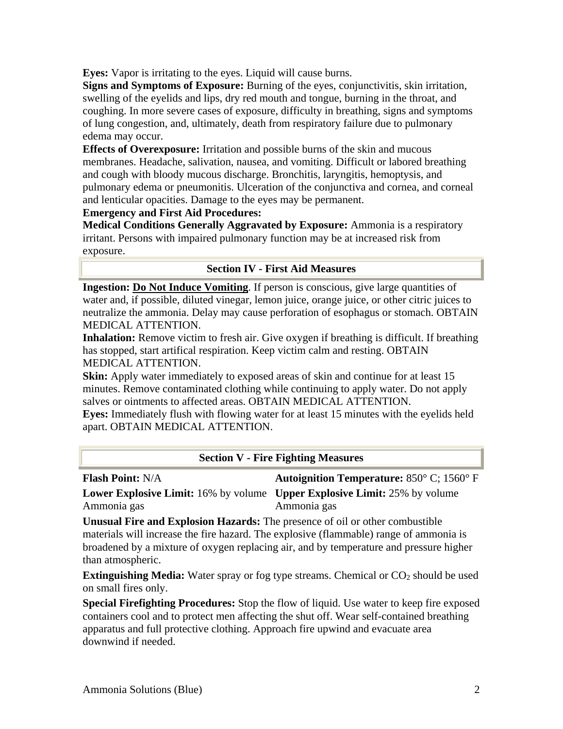**Eyes:** Vapor is irritating to the eyes. Liquid will cause burns.

**Signs and Symptoms of Exposure:** Burning of the eyes, conjunctivitis, skin irritation, swelling of the eyelids and lips, dry red mouth and tongue, burning in the throat, and coughing. In more severe cases of exposure, difficulty in breathing, signs and symptoms of lung congestion, and, ultimately, death from respiratory failure due to pulmonary edema may occur.

**Effects of Overexposure:** Irritation and possible burns of the skin and mucous membranes. Headache, salivation, nausea, and vomiting. Difficult or labored breathing and cough with bloody mucous discharge. Bronchitis, laryngitis, hemoptysis, and pulmonary edema or pneumonitis. Ulceration of the conjunctiva and cornea, and corneal and lenticular opacities. Damage to the eyes may be permanent.

## **Emergency and First Aid Procedures:**

**Medical Conditions Generally Aggravated by Exposure:** Ammonia is a respiratory irritant. Persons with impaired pulmonary function may be at increased risk from exposure.

#### **Section IV - First Aid Measures**

**Ingestion: Do Not Induce Vomiting**. If person is conscious, give large quantities of water and, if possible, diluted vinegar, lemon juice, orange juice, or other citric juices to neutralize the ammonia. Delay may cause perforation of esophagus or stomach. OBTAIN MEDICAL ATTENTION.

**Inhalation:** Remove victim to fresh air. Give oxygen if breathing is difficult. If breathing has stopped, start artifical respiration. Keep victim calm and resting. OBTAIN MEDICAL ATTENTION.

**Skin:** Apply water immediately to exposed areas of skin and continue for at least 15 minutes. Remove contaminated clothing while continuing to apply water. Do not apply salves or ointments to affected areas. OBTAIN MEDICAL ATTENTION.

**Eyes:** Immediately flush with flowing water for at least 15 minutes with the eyelids held apart. OBTAIN MEDICAL ATTENTION.

#### **Section V - Fire Fighting Measures**

| <b>Flash Point: N/A</b> | <b>Autoignition Temperature:</b> $850^{\circ}$ C; $1560^{\circ}$ F               |
|-------------------------|----------------------------------------------------------------------------------|
|                         | <b>Lower Explosive Limit:</b> 16% by volume Upper Explosive Limit: 25% by volume |
| Ammonia gas             | Ammonia gas                                                                      |

**Unusual Fire and Explosion Hazards:** The presence of oil or other combustible materials will increase the fire hazard. The explosive (flammable) range of ammonia is broadened by a mixture of oxygen replacing air, and by temperature and pressure higher than atmospheric.

**Extinguishing Media:** Water spray or fog type streams. Chemical or  $CO<sub>2</sub>$  should be used on small fires only.

**Special Firefighting Procedures:** Stop the flow of liquid. Use water to keep fire exposed containers cool and to protect men affecting the shut off. Wear self-contained breathing apparatus and full protective clothing. Approach fire upwind and evacuate area downwind if needed.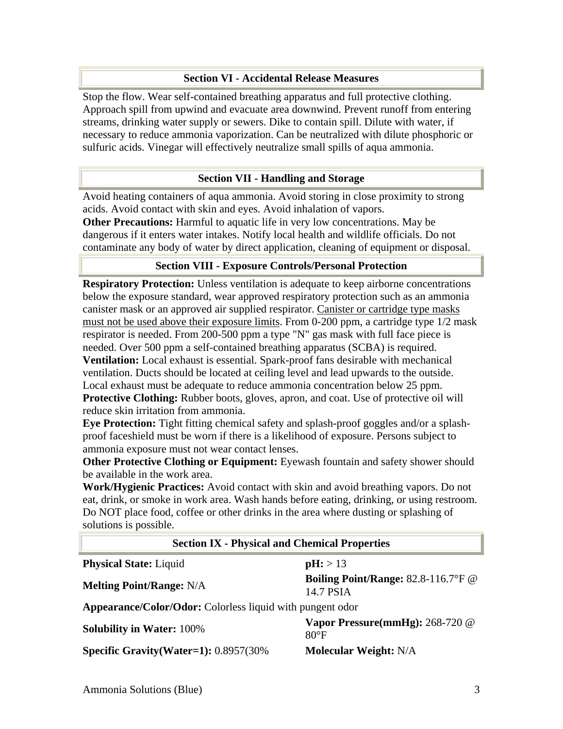## **Section VI - Accidental Release Measures**

Stop the flow. Wear self-contained breathing apparatus and full protective clothing. Approach spill from upwind and evacuate area downwind. Prevent runoff from entering streams, drinking water supply or sewers. Dike to contain spill. Dilute with water, if necessary to reduce ammonia vaporization. Can be neutralized with dilute phosphoric or sulfuric acids. Vinegar will effectively neutralize small spills of aqua ammonia.

#### **Section VII - Handling and Storage**

Avoid heating containers of aqua ammonia. Avoid storing in close proximity to strong acids. Avoid contact with skin and eyes. Avoid inhalation of vapors. **Other Precautions:** Harmful to aquatic life in very low concentrations. May be dangerous if it enters water intakes. Notify local health and wildlife officials. Do not

contaminate any body of water by direct application, cleaning of equipment or disposal.

# **Section VIII - Exposure Controls/Personal Protection**

**Respiratory Protection:** Unless ventilation is adequate to keep airborne concentrations below the exposure standard, wear approved respiratory protection such as an ammonia canister mask or an approved air supplied respirator. Canister or cartridge type masks must not be used above their exposure limits. From 0-200 ppm, a cartridge type 1/2 mask respirator is needed. From 200-500 ppm a type "N" gas mask with full face piece is needed. Over 500 ppm a self-contained breathing apparatus (SCBA) is required. **Ventilation:** Local exhaust is essential. Spark-proof fans desirable with mechanical ventilation. Ducts should be located at ceiling level and lead upwards to the outside. Local exhaust must be adequate to reduce ammonia concentration below 25 ppm. **Protective Clothing:** Rubber boots, gloves, apron, and coat. Use of protective oil will reduce skin irritation from ammonia.

**Eye Protection:** Tight fitting chemical safety and splash-proof goggles and/or a splashproof faceshield must be worn if there is a likelihood of exposure. Persons subject to ammonia exposure must not wear contact lenses.

**Other Protective Clothing or Equipment:** Eyewash fountain and safety shower should be available in the work area.

**Work/Hygienic Practices:** Avoid contact with skin and avoid breathing vapors. Do not eat, drink, or smoke in work area. Wash hands before eating, drinking, or using restroom. Do NOT place food, coffee or other drinks in the area where dusting or splashing of solutions is possible.

| <b>Section IX - Physical and Chemical Properties</b>      |                                                     |  |
|-----------------------------------------------------------|-----------------------------------------------------|--|
| <b>Physical State: Liquid</b>                             | pH: > 13                                            |  |
| <b>Melting Point/Range: N/A</b>                           | Boiling Point/Range: $82.8-116.7$ °F @<br>14.7 PSIA |  |
| Appearance/Color/Odor: Colorless liquid with pungent odor |                                                     |  |
| <b>Solubility in Water: 100%</b>                          | Vapor Pressure(mmHg): 268-720 @<br>$80^{\circ}F$    |  |
| Specific Gravity (Water=1): $0.8957(30\%$                 | <b>Molecular Weight: N/A</b>                        |  |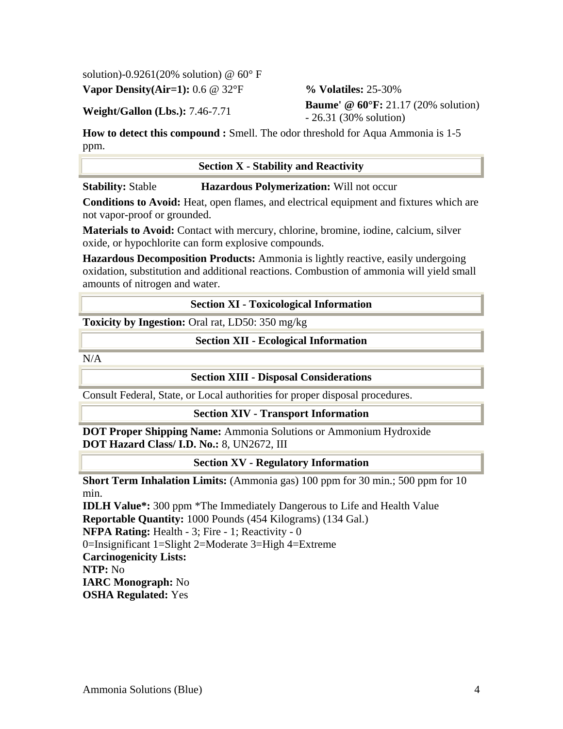solution)-0.9261(20% solution)  $\omega$  60° F

**Vapor Density(Air=1):** 0.6 @ 32°F **% Volatiles:** 25-30%

**Weight/Gallon (Lbs.):** 7.46-7.71 **Baume'** @ 60°F: 21.17 (20% solution) - 26.31 (30% solution)

**How to detect this compound :** Smell. The odor threshold for Aqua Ammonia is 1-5 ppm.

## **Section X - Stability and Reactivity**

**Stability:** Stable **Hazardous Polymerization:** Will not occur

**Conditions to Avoid:** Heat, open flames, and electrical equipment and fixtures which are not vapor-proof or grounded.

**Materials to Avoid:** Contact with mercury, chlorine, bromine, iodine, calcium, silver oxide, or hypochlorite can form explosive compounds.

**Hazardous Decomposition Products:** Ammonia is lightly reactive, easily undergoing oxidation, substitution and additional reactions. Combustion of ammonia will yield small amounts of nitrogen and water.

## **Section XI - Toxicological Information**

**Toxicity by Ingestion:** Oral rat, LD50: 350 mg/kg

# **Section XII - Ecological Information**

N/A

#### **Section XIII - Disposal Considerations**

Consult Federal, State, or Local authorities for proper disposal procedures.

**Section XIV - Transport Information**

**DOT Proper Shipping Name:** Ammonia Solutions or Ammonium Hydroxide **DOT Hazard Class/ I.D. No.:** 8, UN2672, III

#### **Section XV - Regulatory Information**

**Short Term Inhalation Limits:** (Ammonia gas) 100 ppm for 30 min.; 500 ppm for 10 min.

**IDLH Value\*:** 300 ppm \*The Immediately Dangerous to Life and Health Value **Reportable Quantity:** 1000 Pounds (454 Kilograms) (134 Gal.) **NFPA Rating:** Health - 3; Fire - 1; Reactivity - 0 0=Insignificant 1=Slight 2=Moderate 3=High 4=Extreme **Carcinogenicity Lists: NTP:** No **IARC Monograph:** No **OSHA Regulated:** Yes